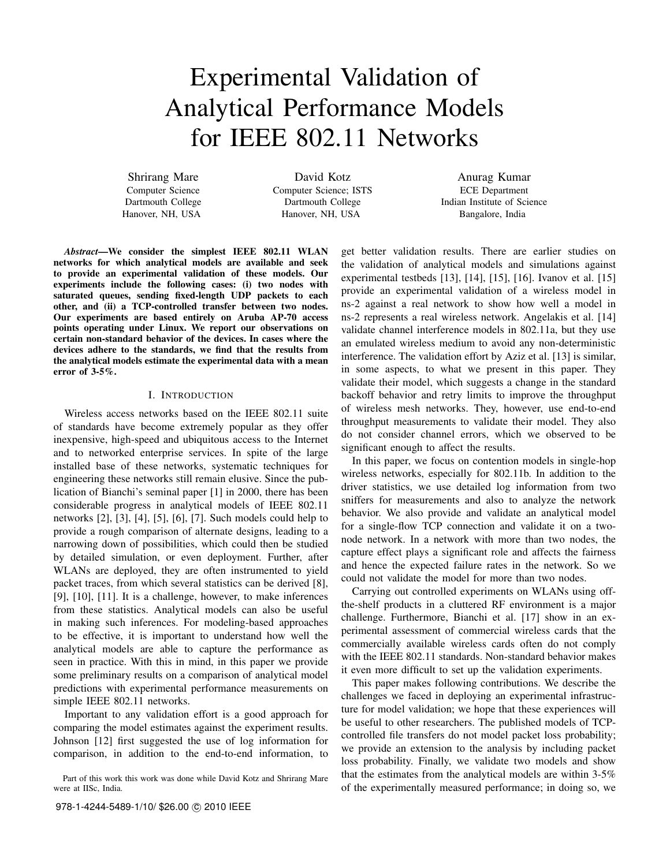# Experimental Validation of Analytical Performance Models for IEEE 802.11 Networks

Shrirang Mare Computer Science Dartmouth College Hanover, NH, USA

David Kotz Computer Science; ISTS Dartmouth College Hanover, NH, USA

Anurag Kumar ECE Department Indian Institute of Science Bangalore, India

*Abstract*—We consider the simplest IEEE 802.11 WLAN networks for which analytical models are available and seek to provide an experimental validation of these models. Our experiments include the following cases: (i) two nodes with saturated queues, sending fixed-length UDP packets to each other, and (ii) a TCP-controlled transfer between two nodes. Our experiments are based entirely on Aruba AP-70 access points operating under Linux. We report our observations on certain non-standard behavior of the devices. In cases where the devices adhere to the standards, we find that the results from the analytical models estimate the experimental data with a mean error of 3-5%.

# I. INTRODUCTION

Wireless access networks based on the IEEE 802.11 suite of standards have become extremely popular as they offer inexpensive, high-speed and ubiquitous access to the Internet and to networked enterprise services. In spite of the large installed base of these networks, systematic techniques for engineering these networks still remain elusive. Since the publication of Bianchi's seminal paper [1] in 2000, there has been considerable progress in analytical models of IEEE 802.11 networks [2], [3], [4], [5], [6], [7]. Such models could help to provide a rough comparison of alternate designs, leading to a narrowing down of possibilities, which could then be studied by detailed simulation, or even deployment. Further, after WLANs are deployed, they are often instrumented to yield packet traces, from which several statistics can be derived [8], [9], [10], [11]. It is a challenge, however, to make inferences from these statistics. Analytical models can also be useful in making such inferences. For modeling-based approaches to be effective, it is important to understand how well the analytical models are able to capture the performance as seen in practice. With this in mind, in this paper we provide some preliminary results on a comparison of analytical model predictions with experimental performance measurements on simple IEEE 802.11 networks.

Important to any validation effort is a good approach for comparing the model estimates against the experiment results. Johnson [12] first suggested the use of log information for comparison, in addition to the end-to-end information, to

Part of this work this work was done while David Kotz and Shrirang Mare were at IISc, India.

get better validation results. There are earlier studies on the validation of analytical models and simulations against experimental testbeds [13], [14], [15], [16]. Ivanov et al. [15] provide an experimental validation of a wireless model in ns-2 against a real network to show how well a model in ns-2 represents a real wireless network. Angelakis et al. [14] validate channel interference models in 802.11a, but they use an emulated wireless medium to avoid any non-deterministic interference. The validation effort by Aziz et al. [13] is similar, in some aspects, to what we present in this paper. They validate their model, which suggests a change in the standard backoff behavior and retry limits to improve the throughput of wireless mesh networks. They, however, use end-to-end throughput measurements to validate their model. They also do not consider channel errors, which we observed to be significant enough to affect the results.

In this paper, we focus on contention models in single-hop wireless networks, especially for 802.11b. In addition to the driver statistics, we use detailed log information from two sniffers for measurements and also to analyze the network behavior. We also provide and validate an analytical model for a single-flow TCP connection and validate it on a twonode network. In a network with more than two nodes, the capture effect plays a significant role and affects the fairness and hence the expected failure rates in the network. So we could not validate the model for more than two nodes.

Carrying out controlled experiments on WLANs using offthe-shelf products in a cluttered RF environment is a major challenge. Furthermore, Bianchi et al. [17] show in an experimental assessment of commercial wireless cards that the commercially available wireless cards often do not comply with the IEEE 802.11 standards. Non-standard behavior makes it even more difficult to set up the validation experiments.

This paper makes following contributions. We describe the challenges we faced in deploying an experimental infrastructure for model validation; we hope that these experiences will be useful to other researchers. The published models of TCPcontrolled file transfers do not model packet loss probability; we provide an extension to the analysis by including packet loss probability. Finally, we validate two models and show that the estimates from the analytical models are within 3-5% of the experimentally measured performance; in doing so, we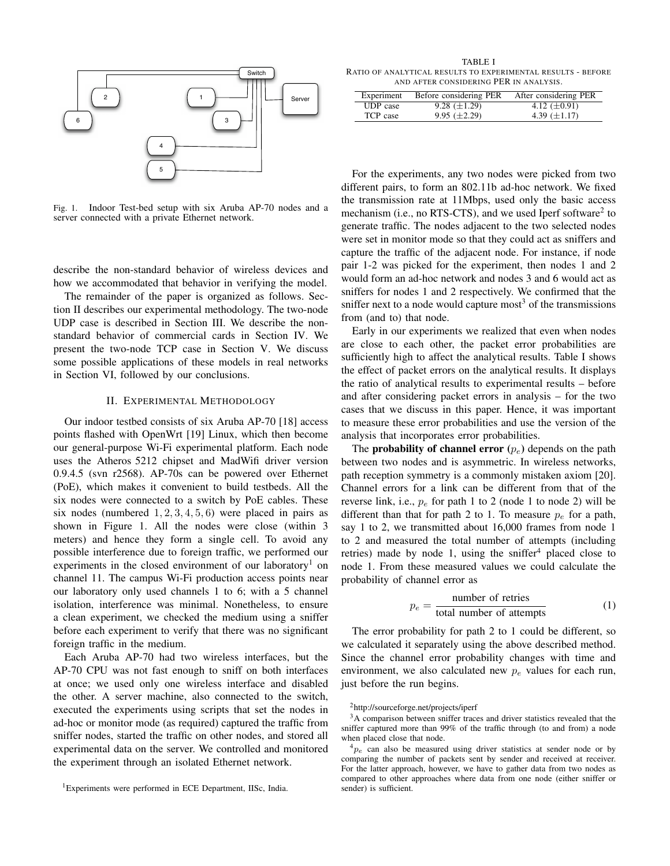

Fig. 1. Indoor Test-bed setup with six Aruba AP-70 nodes and a server connected with a private Ethernet network.

describe the non-standard behavior of wireless devices and how we accommodated that behavior in verifying the model.

The remainder of the paper is organized as follows. Section II describes our experimental methodology. The two-node UDP case is described in Section III. We describe the nonstandard behavior of commercial cards in Section IV. We present the two-node TCP case in Section V. We discuss some possible applications of these models in real networks in Section VI, followed by our conclusions.

#### II. EXPERIMENTAL METHODOLOGY

Our indoor testbed consists of six Aruba AP-70 [18] access points flashed with OpenWrt [19] Linux, which then become our general-purpose Wi-Fi experimental platform. Each node uses the Atheros 5212 chipset and MadWifi driver version 0.9.4.5 (svn r2568). AP-70s can be powered over Ethernet (PoE), which makes it convenient to build testbeds. All the six nodes were connected to a switch by PoE cables. These six nodes (numbered  $1, 2, 3, 4, 5, 6$ ) were placed in pairs as shown in Figure 1. All the nodes were close (within 3 meters) and hence they form a single cell. To avoid any possible interference due to foreign traffic, we performed our experiments in the closed environment of our laboratory<sup>1</sup> on channel 11. The campus Wi-Fi production access points near our laboratory only used channels 1 to 6; with a 5 channel isolation, interference was minimal. Nonetheless, to ensure a clean experiment, we checked the medium using a sniffer before each experiment to verify that there was no significant foreign traffic in the medium.

Each Aruba AP-70 had two wireless interfaces, but the AP-70 CPU was not fast enough to sniff on both interfaces at once; we used only one wireless interface and disabled the other. A server machine, also connected to the switch, executed the experiments using scripts that set the nodes in ad-hoc or monitor mode (as required) captured the traffic from sniffer nodes, started the traffic on other nodes, and stored all experimental data on the server. We controlled and monitored the experiment through an isolated Ethernet network.

TABLE I RATIO OF ANALYTICAL RESULTS TO EXPERIMENTAL RESULTS - BEFORE AND AFTER CONSIDERING PER IN ANALYSIS.

| Experiment      | Before considering PER | After considering PER |
|-----------------|------------------------|-----------------------|
| <b>UDP</b> case | $9.28 \ (\pm 1.29)$    | 4.12 $(\pm 0.91)$     |
| TCP case        | $9.95 \ (\pm 2.29)$    | 4.39 $(\pm 1.17)$     |

For the experiments, any two nodes were picked from two different pairs, to form an 802.11b ad-hoc network. We fixed the transmission rate at 11Mbps, used only the basic access mechanism (i.e., no RTS-CTS), and we used Iperf software<sup>2</sup> to generate traffic. The nodes adjacent to the two selected nodes were set in monitor mode so that they could act as sniffers and capture the traffic of the adjacent node. For instance, if node pair 1-2 was picked for the experiment, then nodes 1 and 2 would form an ad-hoc network and nodes 3 and 6 would act as sniffers for nodes 1 and 2 respectively. We confirmed that the sniffer next to a node would capture most<sup>3</sup> of the transmissions from (and to) that node.

Early in our experiments we realized that even when nodes are close to each other, the packet error probabilities are sufficiently high to affect the analytical results. Table I shows the effect of packet errors on the analytical results. It displays the ratio of analytical results to experimental results – before and after considering packet errors in analysis – for the two cases that we discuss in this paper. Hence, it was important to measure these error probabilities and use the version of the analysis that incorporates error probabilities.

The **probability of channel error**  $(p_e)$  depends on the path between two nodes and is asymmetric. In wireless networks, path reception symmetry is a commonly mistaken axiom [20]. Channel errors for a link can be different from that of the reverse link, i.e.,  $p_e$  for path 1 to 2 (node 1 to node 2) will be different than that for path 2 to 1. To measure  $p_e$  for a path, say 1 to 2, we transmitted about 16,000 frames from node 1 to 2 and measured the total number of attempts (including retries) made by node 1, using the sniffer $4$  placed close to node 1. From these measured values we could calculate the probability of channel error as

$$
p_e = \frac{\text{number of retrieves}}{\text{total number of attempts}} \tag{1}
$$

The error probability for path 2 to 1 could be different, so we calculated it separately using the above described method. Since the channel error probability changes with time and environment, we also calculated new  $p_e$  values for each run, just before the run begins.

<sup>2</sup>http://sourceforge.net/projects/iperf

<sup>1</sup>Experiments were performed in ECE Department, IISc, India.

<sup>&</sup>lt;sup>3</sup>A comparison between sniffer traces and driver statistics revealed that the sniffer captured more than 99% of the traffic through (to and from) a node when placed close that node.

 $^{4}p_{e}$  can also be measured using driver statistics at sender node or by comparing the number of packets sent by sender and received at receiver. For the latter approach, however, we have to gather data from two nodes as compared to other approaches where data from one node (either sniffer or sender) is sufficient.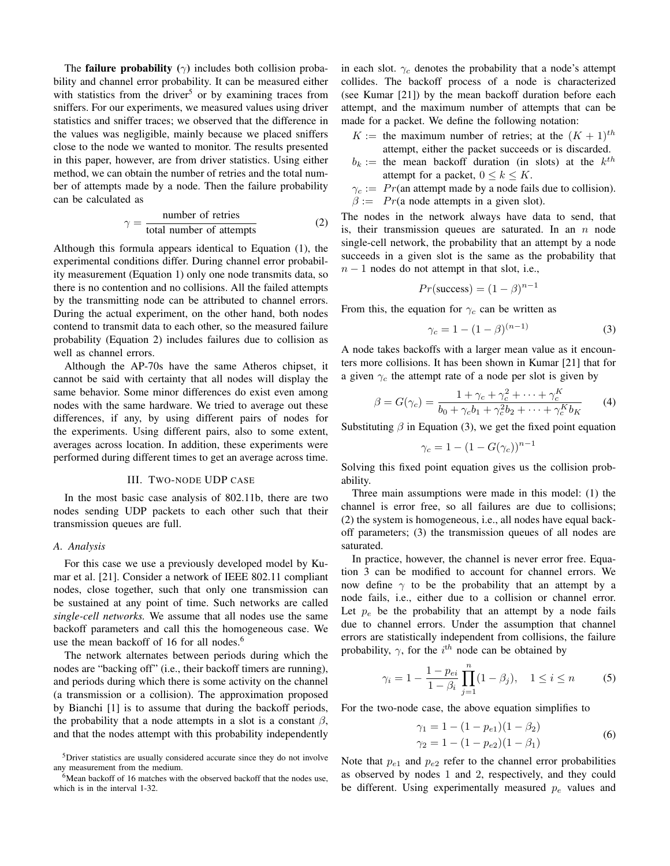The **failure probability** ( $\gamma$ ) includes both collision probability and channel error probability. It can be measured either with statistics from the driver<sup>5</sup> or by examining traces from sniffers. For our experiments, we measured values using driver statistics and sniffer traces; we observed that the difference in the values was negligible, mainly because we placed sniffers close to the node we wanted to monitor. The results presented in this paper, however, are from driver statistics. Using either method, we can obtain the number of retries and the total number of attempts made by a node. Then the failure probability can be calculated as

$$
\gamma = \frac{\text{number of retries}}{\text{total number of attempts}}\tag{2}
$$

Although this formula appears identical to Equation (1), the experimental conditions differ. During channel error probability measurement (Equation 1) only one node transmits data, so there is no contention and no collisions. All the failed attempts by the transmitting node can be attributed to channel errors. During the actual experiment, on the other hand, both nodes contend to transmit data to each other, so the measured failure probability (Equation 2) includes failures due to collision as well as channel errors.

Although the AP-70s have the same Atheros chipset, it cannot be said with certainty that all nodes will display the same behavior. Some minor differences do exist even among nodes with the same hardware. We tried to average out these differences, if any, by using different pairs of nodes for the experiments. Using different pairs, also to some extent, averages across location. In addition, these experiments were performed during different times to get an average across time.

# III. TWO-NODE UDP CASE

In the most basic case analysis of 802.11b, there are two nodes sending UDP packets to each other such that their transmission queues are full.

# *A. Analysis*

For this case we use a previously developed model by Kumar et al. [21]. Consider a network of IEEE 802.11 compliant nodes, close together, such that only one transmission can be sustained at any point of time. Such networks are called *single-cell networks.* We assume that all nodes use the same backoff parameters and call this the homogeneous case. We use the mean backoff of 16 for all nodes.<sup>6</sup>

The network alternates between periods during which the nodes are "backing off" (i.e., their backoff timers are running), and periods during which there is some activity on the channel (a transmission or a collision). The approximation proposed by Bianchi [1] is to assume that during the backoff periods, the probability that a node attempts in a slot is a constant  $\beta$ , and that the nodes attempt with this probability independently in each slot.  $\gamma_c$  denotes the probability that a node's attempt collides. The backoff process of a node is characterized (see Kumar [21]) by the mean backoff duration before each attempt, and the maximum number of attempts that can be made for a packet. We define the following notation:

- $K :=$  the maximum number of retries; at the  $(K + 1)$ <sup>th</sup> attempt, either the packet succeeds or is discarded.
- $b_k :=$  the mean backoff duration (in slots) at the  $k^{th}$ attempt for a packet,  $0 \le k \le K$ .
- $\gamma_c := Pr$  (an attempt made by a node fails due to collision).  $\beta := Pr(a \text{ node attempts in a given slot}).$

The nodes in the network always have data to send, that is, their transmission queues are saturated. In an  $n$  node single-cell network, the probability that an attempt by a node succeeds in a given slot is the same as the probability that  $n - 1$  nodes do not attempt in that slot, i.e.,

$$
Pr(\text{success}) = (1 - \beta)^{n-1}
$$

From this, the equation for  $\gamma_c$  can be written as

$$
\gamma_c = 1 - (1 - \beta)^{(n-1)}
$$
 (3)

A node takes backoffs with a larger mean value as it encounters more collisions. It has been shown in Kumar [21] that for a given  $\gamma_c$  the attempt rate of a node per slot is given by

$$
\beta = G(\gamma_c) = \frac{1 + \gamma_c + \gamma_c^2 + \dots + \gamma_c^K}{b_0 + \gamma_c b_1 + \gamma_c^2 b_2 + \dots + \gamma_c^K b_K} \tag{4}
$$

Substituting  $\beta$  in Equation (3), we get the fixed point equation

$$
\gamma_c = 1 - (1 - G(\gamma_c))^{n-1}
$$

Solving this fixed point equation gives us the collision probability.

Three main assumptions were made in this model: (1) the channel is error free, so all failures are due to collisions; (2) the system is homogeneous, i.e., all nodes have equal backoff parameters; (3) the transmission queues of all nodes are saturated.

In practice, however, the channel is never error free. Equation 3 can be modified to account for channel errors. We now define  $\gamma$  to be the probability that an attempt by a node fails, i.e., either due to a collision or channel error. Let  $p_e$  be the probability that an attempt by a node fails due to channel errors. Under the assumption that channel errors are statistically independent from collisions, the failure probability,  $\gamma$ , for the i<sup>th</sup> node can be obtained by

$$
\gamma_i = 1 - \frac{1 - p_{ei}}{1 - \beta_i} \prod_{j=1}^n (1 - \beta_j), \quad 1 \le i \le n \tag{5}
$$

For the two-node case, the above equation simplifies to

$$
\gamma_1 = 1 - (1 - p_{e1})(1 - \beta_2)
$$
  
\n
$$
\gamma_2 = 1 - (1 - p_{e2})(1 - \beta_1)
$$
\n(6)

Note that  $p_{e1}$  and  $p_{e2}$  refer to the channel error probabilities as observed by nodes 1 and 2, respectively, and they could be different. Using experimentally measured  $p_e$  values and

<sup>5</sup>Driver statistics are usually considered accurate since they do not involve any measurement from the medium.

 $6$ Mean backoff of 16 matches with the observed backoff that the nodes use, which is in the interval 1-32.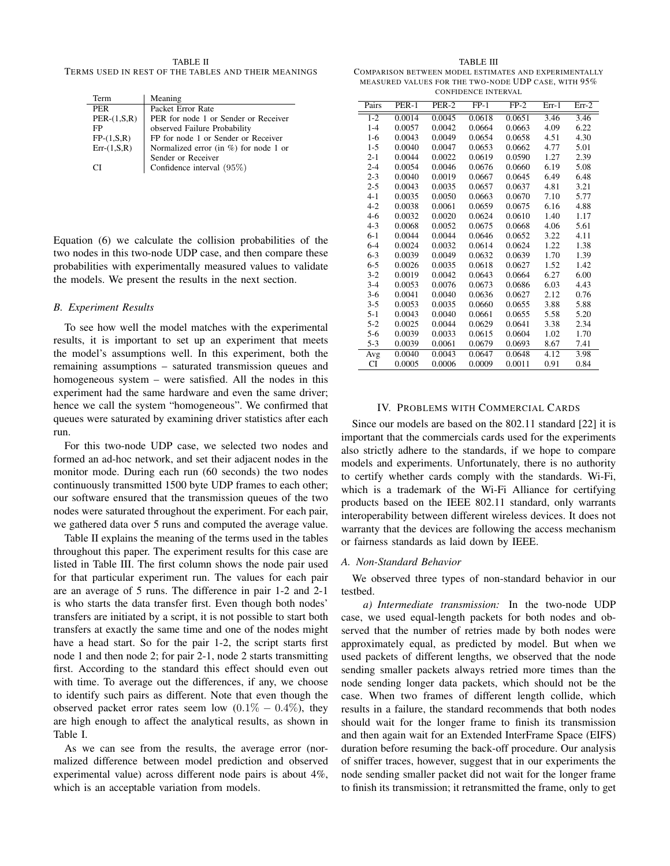TABLE II TERMS USED IN REST OF THE TABLES AND THEIR MEANINGS

| Term            | Meaning                                   |
|-----------------|-------------------------------------------|
| <b>PER</b>      | Packet Error Rate                         |
| $PER-(1, S, R)$ | PER for node 1 or Sender or Receiver      |
| FP              | observed Failure Probability              |
| $FP-(1, S, R)$  | FP for node 1 or Sender or Receiver       |
| $Err-(1,S,R)$   | Normalized error (in $\%$ ) for node 1 or |
|                 | Sender or Receiver                        |
|                 | Confidence interval (95%)                 |

Equation (6) we calculate the collision probabilities of the two nodes in this two-node UDP case, and then compare these probabilities with experimentally measured values to validate the models. We present the results in the next section.

# *B. Experiment Results*

To see how well the model matches with the experimental results, it is important to set up an experiment that meets the model's assumptions well. In this experiment, both the remaining assumptions – saturated transmission queues and homogeneous system – were satisfied. All the nodes in this experiment had the same hardware and even the same driver; hence we call the system "homogeneous". We confirmed that queues were saturated by examining driver statistics after each run.

For this two-node UDP case, we selected two nodes and formed an ad-hoc network, and set their adjacent nodes in the monitor mode. During each run (60 seconds) the two nodes continuously transmitted 1500 byte UDP frames to each other; our software ensured that the transmission queues of the two nodes were saturated throughout the experiment. For each pair, we gathered data over 5 runs and computed the average value.

Table II explains the meaning of the terms used in the tables throughout this paper. The experiment results for this case are listed in Table III. The first column shows the node pair used for that particular experiment run. The values for each pair are an average of 5 runs. The difference in pair 1-2 and 2-1 is who starts the data transfer first. Even though both nodes' transfers are initiated by a script, it is not possible to start both transfers at exactly the same time and one of the nodes might have a head start. So for the pair 1-2, the script starts first node 1 and then node 2; for pair 2-1, node 2 starts transmitting first. According to the standard this effect should even out with time. To average out the differences, if any, we choose to identify such pairs as different. Note that even though the observed packet error rates seem low  $(0.1\% - 0.4\%)$ , they are high enough to affect the analytical results, as shown in Table I.

As we can see from the results, the average error (normalized difference between model prediction and observed experimental value) across different node pairs is about 4%, which is an acceptable variation from models.

TABLE III COMPARISON BETWEEN MODEL ESTIMATES AND EXPERIMENTALLY MEASURED VALUES FOR THE TWO-NODE UDP CASE, WITH 95% CONFIDENCE INTERVAL

| Pairs   | PER-1  | PER-2  | $FP-1$ | $\overline{FP-2}$ | $Err-1$ | $Err-2$ |
|---------|--------|--------|--------|-------------------|---------|---------|
| $1 - 2$ | 0.0014 | 0.0045 | 0.0618 | 0.0651            | 3.46    | 3.46    |
| $1 - 4$ | 0.0057 | 0.0042 | 0.0664 | 0.0663            | 4.09    | 6.22    |
| $1-6$   | 0.0043 | 0.0049 | 0.0654 | 0.0658            | 4.51    | 4.30    |
| $1 - 5$ | 0.0040 | 0.0047 | 0.0653 | 0.0662            | 4.77    | 5.01    |
| $2 - 1$ | 0.0044 | 0.0022 | 0.0619 | 0.0590            | 1.27    | 2.39    |
| $2 - 4$ | 0.0054 | 0.0046 | 0.0676 | 0.0660            | 6.19    | 5.08    |
| $2 - 3$ | 0.0040 | 0.0019 | 0.0667 | 0.0645            | 6.49    | 6.48    |
| $2 - 5$ | 0.0043 | 0.0035 | 0.0657 | 0.0637            | 4.81    | 3.21    |
| $4 - 1$ | 0.0035 | 0.0050 | 0.0663 | 0.0670            | 7.10    | 5.77    |
| $4 - 2$ | 0.0038 | 0.0061 | 0.0659 | 0.0675            | 6.16    | 4.88    |
| $4-6$   | 0.0032 | 0.0020 | 0.0624 | 0.0610            | 1.40    | 1.17    |
| $4 - 3$ | 0.0068 | 0.0052 | 0.0675 | 0.0668            | 4.06    | 5.61    |
| $6-1$   | 0.0044 | 0.0044 | 0.0646 | 0.0652            | 3.22    | 4.11    |
| $6 - 4$ | 0.0024 | 0.0032 | 0.0614 | 0.0624            | 1.22    | 1.38    |
| $6 - 3$ | 0.0039 | 0.0049 | 0.0632 | 0.0639            | 1.70    | 1.39    |
| $6 - 5$ | 0.0026 | 0.0035 | 0.0618 | 0.0627            | 1.52    | 1.42    |
| $3-2$   | 0.0019 | 0.0042 | 0.0643 | 0.0664            | 6.27    | 6.00    |
| $3 - 4$ | 0.0053 | 0.0076 | 0.0673 | 0.0686            | 6.03    | 4.43    |
| $3-6$   | 0.0041 | 0.0040 | 0.0636 | 0.0627            | 2.12    | 0.76    |
| $3-5$   | 0.0053 | 0.0035 | 0.0660 | 0.0655            | 3.88    | 5.88    |
| $5 - 1$ | 0.0043 | 0.0040 | 0.0661 | 0.0655            | 5.58    | 5.20    |
| $5-2$   | 0.0025 | 0.0044 | 0.0629 | 0.0641            | 3.38    | 2.34    |
| $5-6$   | 0.0039 | 0.0033 | 0.0615 | 0.0604            | 1.02    | 1.70    |
| $5 - 3$ | 0.0039 | 0.0061 | 0.0679 | 0.0693            | 8.67    | 7.41    |
| Avg     | 0.0040 | 0.0043 | 0.0647 | 0.0648            | 4.12    | 3.98    |
| СI      | 0.0005 | 0.0006 | 0.0009 | 0.0011            | 0.91    | 0.84    |

# IV. PROBLEMS WITH COMMERCIAL CARDS

Since our models are based on the 802.11 standard [22] it is important that the commercials cards used for the experiments also strictly adhere to the standards, if we hope to compare models and experiments. Unfortunately, there is no authority to certify whether cards comply with the standards. Wi-Fi, which is a trademark of the Wi-Fi Alliance for certifying products based on the IEEE 802.11 standard, only warrants interoperability between different wireless devices. It does not warranty that the devices are following the access mechanism or fairness standards as laid down by IEEE.

#### *A. Non-Standard Behavior*

We observed three types of non-standard behavior in our testbed.

*a) Intermediate transmission:* In the two-node UDP case, we used equal-length packets for both nodes and observed that the number of retries made by both nodes were approximately equal, as predicted by model. But when we used packets of different lengths, we observed that the node sending smaller packets always retried more times than the node sending longer data packets, which should not be the case. When two frames of different length collide, which results in a failure, the standard recommends that both nodes should wait for the longer frame to finish its transmission and then again wait for an Extended InterFrame Space (EIFS) duration before resuming the back-off procedure. Our analysis of sniffer traces, however, suggest that in our experiments the node sending smaller packet did not wait for the longer frame to finish its transmission; it retransmitted the frame, only to get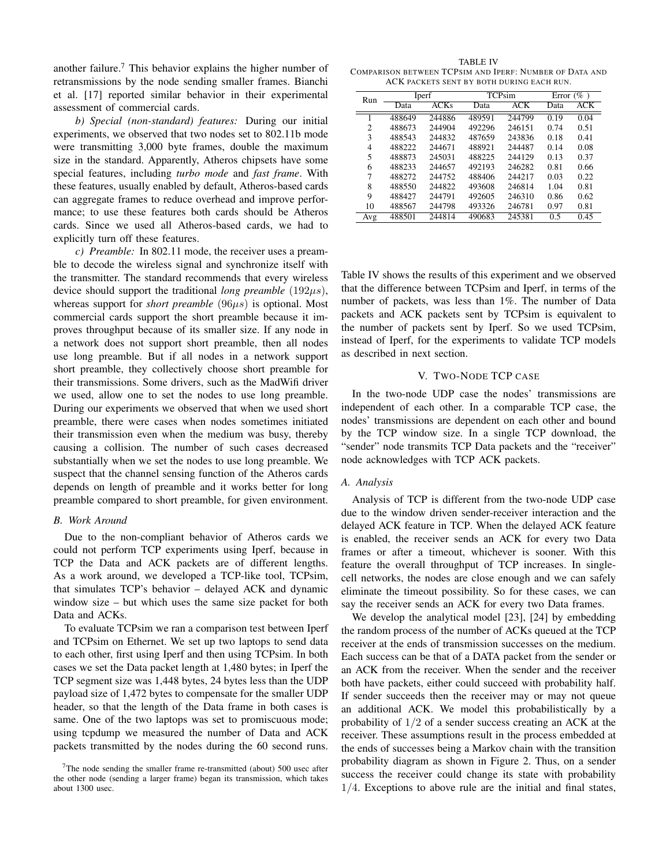another failure.<sup>7</sup> This behavior explains the higher number of retransmissions by the node sending smaller frames. Bianchi et al. [17] reported similar behavior in their experimental assessment of commercial cards.

*b) Special (non-standard) features:* During our initial experiments, we observed that two nodes set to 802.11b mode were transmitting 3,000 byte frames, double the maximum size in the standard. Apparently, Atheros chipsets have some special features, including *turbo mode* and *fast frame*. With these features, usually enabled by default, Atheros-based cards can aggregate frames to reduce overhead and improve performance; to use these features both cards should be Atheros cards. Since we used all Atheros-based cards, we had to explicitly turn off these features.

*c) Preamble:* In 802.11 mode, the receiver uses a preamble to decode the wireless signal and synchronize itself with the transmitter. The standard recommends that every wireless device should support the traditional *long preamble* (192µs), whereas support for *short preamble* (96µs) is optional. Most commercial cards support the short preamble because it improves throughput because of its smaller size. If any node in a network does not support short preamble, then all nodes use long preamble. But if all nodes in a network support short preamble, they collectively choose short preamble for their transmissions. Some drivers, such as the MadWifi driver we used, allow one to set the nodes to use long preamble. During our experiments we observed that when we used short preamble, there were cases when nodes sometimes initiated their transmission even when the medium was busy, thereby causing a collision. The number of such cases decreased substantially when we set the nodes to use long preamble. We suspect that the channel sensing function of the Atheros cards depends on length of preamble and it works better for long preamble compared to short preamble, for given environment.

#### *B. Work Around*

Due to the non-compliant behavior of Atheros cards we could not perform TCP experiments using Iperf, because in TCP the Data and ACK packets are of different lengths. As a work around, we developed a TCP-like tool, TCPsim, that simulates TCP's behavior – delayed ACK and dynamic window size – but which uses the same size packet for both Data and ACKs.

To evaluate TCPsim we ran a comparison test between Iperf and TCPsim on Ethernet. We set up two laptops to send data to each other, first using Iperf and then using TCPsim. In both cases we set the Data packet length at 1,480 bytes; in Iperf the TCP segment size was 1,448 bytes, 24 bytes less than the UDP payload size of 1,472 bytes to compensate for the smaller UDP header, so that the length of the Data frame in both cases is same. One of the two laptops was set to promiscuous mode; using tcpdump we measured the number of Data and ACK packets transmitted by the nodes during the 60 second runs.

TABLE IV COMPARISON BETWEEN TCPSIM AND IPERF: NUMBER OF DATA AND ACK PACKETS SENT BY BOTH DURING EACH RUN.

| Run | Iperf  |        | TCPsim |        | Error<br>$(\%$ ) |      |
|-----|--------|--------|--------|--------|------------------|------|
|     | Data   | ACKs   | Data   | ACK    | Data             | ACK  |
| 1   | 488649 | 244886 | 489591 | 244799 | 0.19             | 0.04 |
| 2   | 488673 | 244904 | 492296 | 246151 | 0.74             | 0.51 |
| 3   | 488543 | 244832 | 487659 | 243836 | 0.18             | 0.41 |
| 4   | 488222 | 244671 | 488921 | 244487 | 0.14             | 0.08 |
| 5   | 488873 | 245031 | 488225 | 244129 | 0.13             | 0.37 |
| 6   | 488233 | 244657 | 492193 | 246282 | 0.81             | 0.66 |
| 7   | 488272 | 244752 | 488406 | 244217 | 0.03             | 0.22 |
| 8   | 488550 | 244822 | 493608 | 246814 | 1.04             | 0.81 |
| 9   | 488427 | 244791 | 492605 | 246310 | 0.86             | 0.62 |
| 10  | 488567 | 244798 | 493326 | 246781 | 0.97             | 0.81 |
| Avg | 488501 | 244814 | 490683 | 245381 | 0.5              | 0.45 |

Table IV shows the results of this experiment and we observed that the difference between TCPsim and Iperf, in terms of the number of packets, was less than 1%. The number of Data packets and ACK packets sent by TCPsim is equivalent to the number of packets sent by Iperf. So we used TCPsim, instead of Iperf, for the experiments to validate TCP models as described in next section.

# V. TWO-NODE TCP CASE

In the two-node UDP case the nodes' transmissions are independent of each other. In a comparable TCP case, the nodes' transmissions are dependent on each other and bound by the TCP window size. In a single TCP download, the "sender" node transmits TCP Data packets and the "receiver" node acknowledges with TCP ACK packets.

# *A. Analysis*

Analysis of TCP is different from the two-node UDP case due to the window driven sender-receiver interaction and the delayed ACK feature in TCP. When the delayed ACK feature is enabled, the receiver sends an ACK for every two Data frames or after a timeout, whichever is sooner. With this feature the overall throughput of TCP increases. In singlecell networks, the nodes are close enough and we can safely eliminate the timeout possibility. So for these cases, we can say the receiver sends an ACK for every two Data frames.

We develop the analytical model [23], [24] by embedding the random process of the number of ACKs queued at the TCP receiver at the ends of transmission successes on the medium. Each success can be that of a DATA packet from the sender or an ACK from the receiver. When the sender and the receiver both have packets, either could succeed with probability half. If sender succeeds then the receiver may or may not queue an additional ACK. We model this probabilistically by a probability of 1/2 of a sender success creating an ACK at the receiver. These assumptions result in the process embedded at the ends of successes being a Markov chain with the transition probability diagram as shown in Figure 2. Thus, on a sender success the receiver could change its state with probability  $1/4$ . Exceptions to above rule are the initial and final states,

 $7$ The node sending the smaller frame re-transmitted (about) 500 usec after the other node (sending a larger frame) began its transmission, which takes about 1300 usec.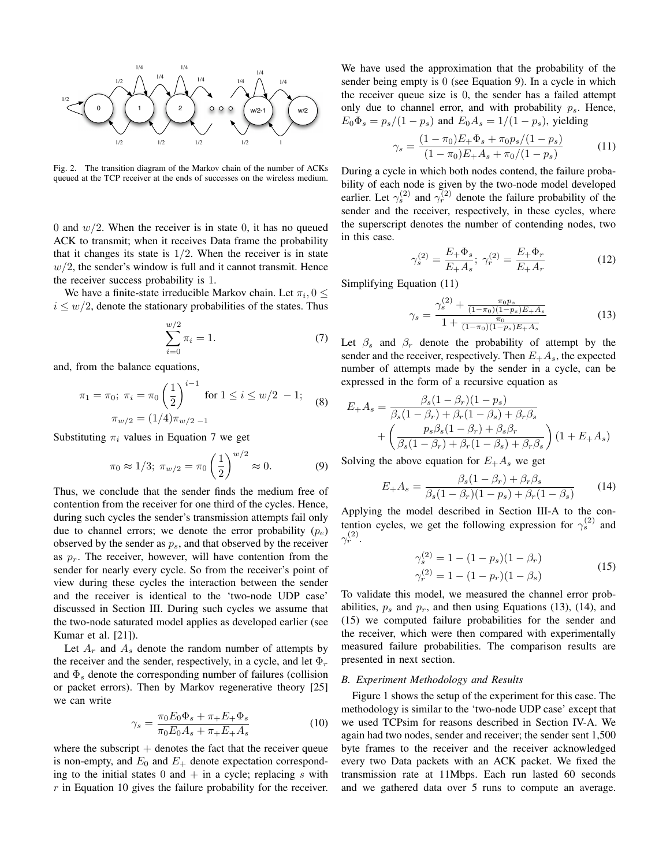

Fig. 2. The transition diagram of the Markov chain of the number of ACKs queued at the TCP receiver at the ends of successes on the wireless medium.

0 and  $w/2$ . When the receiver is in state 0, it has no queued ACK to transmit; when it receives Data frame the probability that it changes its state is  $1/2$ . When the receiver is in state  $w/2$ , the sender's window is full and it cannot transmit. Hence the receiver success probability is 1.

We have a finite-state irreducible Markov chain. Let  $\pi_i$ ,  $0 \leq$  $i \leq w/2$ , denote the stationary probabilities of the states. Thus

$$
\sum_{i=0}^{w/2} \pi_i = 1.
$$
 (7)

and, from the balance equations,

$$
\pi_1 = \pi_0; \ \pi_i = \pi_0 \left(\frac{1}{2}\right)^{i-1} \text{ for } 1 \le i \le w/2 - 1; \tag{8}
$$

$$
\pi_{w/2} = (1/4)\pi_{w/2 - 1}
$$

Substituting  $\pi_i$  values in Equation 7 we get

$$
\pi_0 \approx 1/3; \ \pi_{w/2} = \pi_0 \left(\frac{1}{2}\right)^{w/2} \approx 0.
$$
 (9)

Thus, we conclude that the sender finds the medium free of contention from the receiver for one third of the cycles. Hence, during such cycles the sender's transmission attempts fail only due to channel errors; we denote the error probability  $(p_e)$ observed by the sender as  $p_s$ , and that observed by the receiver as  $p_r$ . The receiver, however, will have contention from the sender for nearly every cycle. So from the receiver's point of view during these cycles the interaction between the sender and the receiver is identical to the 'two-node UDP case' discussed in Section III. During such cycles we assume that the two-node saturated model applies as developed earlier (see Kumar et al. [21]).

Let  $A_r$  and  $A_s$  denote the random number of attempts by the receiver and the sender, respectively, in a cycle, and let  $\Phi_r$ and  $\Phi_s$  denote the corresponding number of failures (collision or packet errors). Then by Markov regenerative theory [25] we can write

$$
\gamma_s = \frac{\pi_0 E_0 \Phi_s + \pi_+ E_+ \Phi_s}{\pi_0 E_0 A_s + \pi_+ E_+ A_s} \tag{10}
$$

where the subscript  $+$  denotes the fact that the receiver queue is non-empty, and  $E_0$  and  $E_+$  denote expectation corresponding to the initial states  $0$  and  $+$  in a cycle; replacing s with  $r$  in Equation 10 gives the failure probability for the receiver.

We have used the approximation that the probability of the sender being empty is 0 (see Equation 9). In a cycle in which the receiver queue size is 0, the sender has a failed attempt only due to channel error, and with probability  $p_s$ . Hence,  $E_0\Phi_s = p_s/(1-p_s)$  and  $E_0A_s = 1/(1-p_s)$ , yielding

$$
\gamma_s = \frac{(1 - \pi_0)E_+ \Phi_s + \pi_0 p_s / (1 - p_s)}{(1 - \pi_0)E_+ A_s + \pi_0 / (1 - p_s)}\tag{11}
$$

During a cycle in which both nodes contend, the failure probability of each node is given by the two-node model developed earlier. Let  $\gamma_s^{(2)}$  and  $\gamma_r^{(2)}$  denote the failure probability of the sender and the receiver, respectively, in these cycles, where the superscript denotes the number of contending nodes, two in this case.

$$
\gamma_s^{(2)} = \frac{E_+ \Phi_s}{E_+ A_s}; \ \gamma_r^{(2)} = \frac{E_+ \Phi_r}{E_+ A_r} \tag{12}
$$

Simplifying Equation (11)

$$
\gamma_s = \frac{\gamma_s^{(2)} + \frac{\pi_0 p_s}{(1 - \pi_0)(1 - p_s)E + A_s}}{1 + \frac{\pi_0}{(1 - \pi_0)(1 - p_s)E + A_s}}
$$
(13)

Let  $\beta_s$  and  $\beta_r$  denote the probability of attempt by the sender and the receiver, respectively. Then  $E_+A_s$ , the expected number of attempts made by the sender in a cycle, can be expressed in the form of a recursive equation as

$$
E_{+}A_{s} = \frac{\beta_{s}(1-\beta_{r})(1-p_{s})}{\beta_{s}(1-\beta_{r})+\beta_{r}(1-\beta_{s})+\beta_{r}\beta_{s}} + \left(\frac{p_{s}\beta_{s}(1-\beta_{r})+\beta_{s}\beta_{r}}{\beta_{s}(1-\beta_{r})+\beta_{r}(1-\beta_{s})+\beta_{r}\beta_{s}}\right)(1+E_{+}A_{s})
$$

Solving the above equation for  $E_+A_s$  we get

$$
E_{+}A_{s} = \frac{\beta_{s}(1-\beta_{r}) + \beta_{r}\beta_{s}}{\beta_{s}(1-\beta_{r})(1-p_{s}) + \beta_{r}(1-\beta_{s})}
$$
(14)

Applying the model described in Section III-A to the contention cycles, we get the following expression for  $\gamma_s^{(2)}$  and  $\gamma^{(2)}_r.$ 

$$
\gamma_s^{(2)} = 1 - (1 - p_s)(1 - \beta_r) \n\gamma_r^{(2)} = 1 - (1 - p_r)(1 - \beta_s)
$$
\n(15)

To validate this model, we measured the channel error probabilities,  $p_s$  and  $p_r$ , and then using Equations (13), (14), and (15) we computed failure probabilities for the sender and the receiver, which were then compared with experimentally measured failure probabilities. The comparison results are presented in next section.

# *B. Experiment Methodology and Results*

Figure 1 shows the setup of the experiment for this case. The methodology is similar to the 'two-node UDP case' except that we used TCPsim for reasons described in Section IV-A. We again had two nodes, sender and receiver; the sender sent 1,500 byte frames to the receiver and the receiver acknowledged every two Data packets with an ACK packet. We fixed the transmission rate at 11Mbps. Each run lasted 60 seconds and we gathered data over 5 runs to compute an average.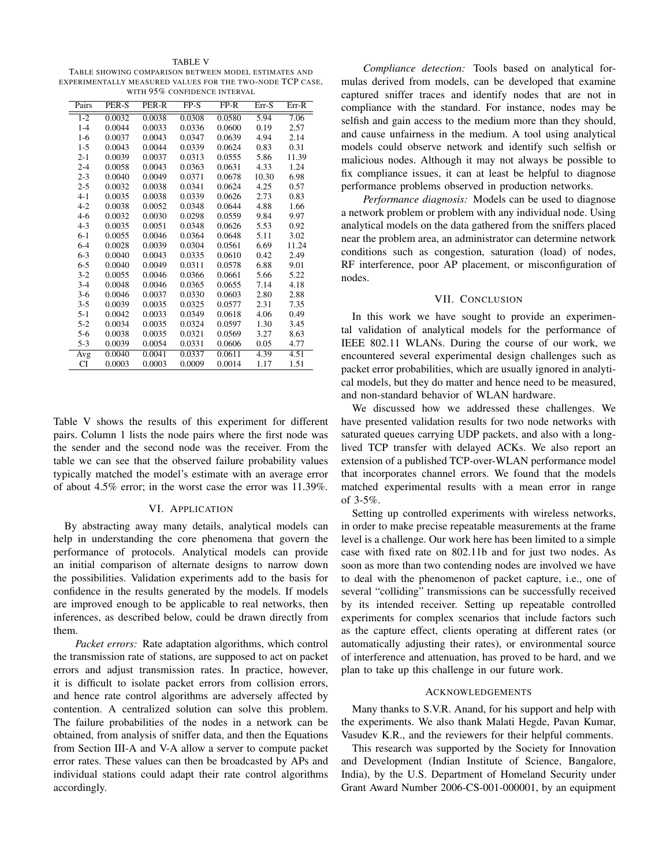TABLE V TABLE SHOWING COMPARISON BETWEEN MODEL ESTIMATES AND EXPERIMENTALLY MEASURED VALUES FOR THE TWO-NODE TCP CASE, WITH 95% CONFIDENCE INTERVAL

| Pairs   | PER-S  | PER-R  | $FP-S$ | $FP-R$ | $Err-S$ | $Err-R$ |
|---------|--------|--------|--------|--------|---------|---------|
| $1-2$   | 0.0032 | 0.0038 | 0.0308 | 0.0580 | 5.94    | 7.06    |
| $1 - 4$ | 0.0044 | 0.0033 | 0.0336 | 0.0600 | 0.19    | 2.57    |
| $1-6$   | 0.0037 | 0.0043 | 0.0347 | 0.0639 | 4.94    | 2.14    |
| $1 - 5$ | 0.0043 | 0.0044 | 0.0339 | 0.0624 | 0.83    | 0.31    |
| $2 - 1$ | 0.0039 | 0.0037 | 0.0313 | 0.0555 | 5.86    | 11.39   |
| $2 - 4$ | 0.0058 | 0.0043 | 0.0363 | 0.0631 | 4.33    | 1.24    |
| $2 - 3$ | 0.0040 | 0.0049 | 0.0371 | 0.0678 | 10.30   | 6.98    |
| $2 - 5$ | 0.0032 | 0.0038 | 0.0341 | 0.0624 | 4.25    | 0.57    |
| $4 - 1$ | 0.0035 | 0.0038 | 0.0339 | 0.0626 | 2.73    | 0.83    |
| $4 - 2$ | 0.0038 | 0.0052 | 0.0348 | 0.0644 | 4.88    | 1.66    |
| $4-6$   | 0.0032 | 0.0030 | 0.0298 | 0.0559 | 9.84    | 9.97    |
| $4 - 3$ | 0.0035 | 0.0051 | 0.0348 | 0.0626 | 5.53    | 0.92    |
| $6 - 1$ | 0.0055 | 0.0046 | 0.0364 | 0.0648 | 5.11    | 3.02    |
| $6 - 4$ | 0.0028 | 0.0039 | 0.0304 | 0.0561 | 6.69    | 11.24   |
| $6 - 3$ | 0.0040 | 0.0043 | 0.0335 | 0.0610 | 0.42    | 2.49    |
| $6 - 5$ | 0.0040 | 0.0049 | 0.0311 | 0.0578 | 6.88    | 9.01    |
| $3-2$   | 0.0055 | 0.0046 | 0.0366 | 0.0661 | 5.66    | 5.22    |
| $3 - 4$ | 0.0048 | 0.0046 | 0.0365 | 0.0655 | 7.14    | 4.18    |
| $3-6$   | 0.0046 | 0.0037 | 0.0330 | 0.0603 | 2.80    | 2.88    |
| $3 - 5$ | 0.0039 | 0.0035 | 0.0325 | 0.0577 | 2.31    | 7.35    |
| $5 - 1$ | 0.0042 | 0.0033 | 0.0349 | 0.0618 | 4.06    | 0.49    |
| $5 - 2$ | 0.0034 | 0.0035 | 0.0324 | 0.0597 | 1.30    | 3.45    |
| $5-6$   | 0.0038 | 0.0035 | 0.0321 | 0.0569 | 3.27    | 8.63    |
| $5 - 3$ | 0.0039 | 0.0054 | 0.0331 | 0.0606 | 0.05    | 4.77    |
| Avg     | 0.0040 | 0.0041 | 0.0337 | 0.0611 | 4.39    | 4.51    |
| CI      | 0.0003 | 0.0003 | 0.0009 | 0.0014 | 1.17    | 1.51    |

Table V shows the results of this experiment for different pairs. Column 1 lists the node pairs where the first node was the sender and the second node was the receiver. From the table we can see that the observed failure probability values typically matched the model's estimate with an average error of about 4.5% error; in the worst case the error was 11.39%.

# VI. APPLICATION

By abstracting away many details, analytical models can help in understanding the core phenomena that govern the performance of protocols. Analytical models can provide an initial comparison of alternate designs to narrow down the possibilities. Validation experiments add to the basis for confidence in the results generated by the models. If models are improved enough to be applicable to real networks, then inferences, as described below, could be drawn directly from them.

*Packet errors:* Rate adaptation algorithms, which control the transmission rate of stations, are supposed to act on packet errors and adjust transmission rates. In practice, however, it is difficult to isolate packet errors from collision errors, and hence rate control algorithms are adversely affected by contention. A centralized solution can solve this problem. The failure probabilities of the nodes in a network can be obtained, from analysis of sniffer data, and then the Equations from Section III-A and V-A allow a server to compute packet error rates. These values can then be broadcasted by APs and individual stations could adapt their rate control algorithms accordingly.

*Compliance detection:* Tools based on analytical formulas derived from models, can be developed that examine captured sniffer traces and identify nodes that are not in compliance with the standard. For instance, nodes may be selfish and gain access to the medium more than they should, and cause unfairness in the medium. A tool using analytical models could observe network and identify such selfish or malicious nodes. Although it may not always be possible to fix compliance issues, it can at least be helpful to diagnose performance problems observed in production networks.

*Performance diagnosis:* Models can be used to diagnose a network problem or problem with any individual node. Using analytical models on the data gathered from the sniffers placed near the problem area, an administrator can determine network conditions such as congestion, saturation (load) of nodes, RF interference, poor AP placement, or misconfiguration of nodes.

# VII. CONCLUSION

In this work we have sought to provide an experimental validation of analytical models for the performance of IEEE 802.11 WLANs. During the course of our work, we encountered several experimental design challenges such as packet error probabilities, which are usually ignored in analytical models, but they do matter and hence need to be measured, and non-standard behavior of WLAN hardware.

We discussed how we addressed these challenges. We have presented validation results for two node networks with saturated queues carrying UDP packets, and also with a longlived TCP transfer with delayed ACKs. We also report an extension of a published TCP-over-WLAN performance model that incorporates channel errors. We found that the models matched experimental results with a mean error in range of 3-5%.

Setting up controlled experiments with wireless networks, in order to make precise repeatable measurements at the frame level is a challenge. Our work here has been limited to a simple case with fixed rate on 802.11b and for just two nodes. As soon as more than two contending nodes are involved we have to deal with the phenomenon of packet capture, i.e., one of several "colliding" transmissions can be successfully received by its intended receiver. Setting up repeatable controlled experiments for complex scenarios that include factors such as the capture effect, clients operating at different rates (or automatically adjusting their rates), or environmental source of interference and attenuation, has proved to be hard, and we plan to take up this challenge in our future work.

#### ACKNOWLEDGEMENTS

Many thanks to S.V.R. Anand, for his support and help with the experiments. We also thank Malati Hegde, Pavan Kumar, Vasudev K.R., and the reviewers for their helpful comments.

This research was supported by the Society for Innovation and Development (Indian Institute of Science, Bangalore, India), by the U.S. Department of Homeland Security under Grant Award Number 2006-CS-001-000001, by an equipment